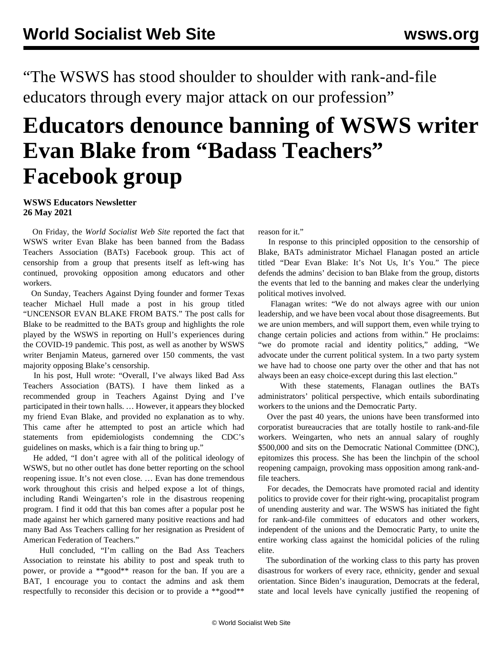"The WSWS has stood shoulder to shoulder with rank-and-file educators through every major attack on our profession"

## **Educators denounce banning of WSWS writer Evan Blake from "Badass Teachers" Facebook group**

## **WSWS Educators Newsletter 26 May 2021**

 On Friday, the *World Socialist Web Site* [reported the fact](/en/articles/2021/05/22/bats-m22.html) that WSWS writer Evan Blake has been banned from the Badass Teachers Association (BATs) Facebook group. This act of censorship from a group that presents itself as left-wing has continued, provoking opposition among educators and other workers.

 On Sunday, Teachers Against Dying founder and former Texas teacher Michael Hull [made a post in his group](https://www.facebook.com/groups/1742745529198277/permalink/2027448264061334/) titled "UNCENSOR EVAN BLAKE FROM BATS." The post calls for Blake to be readmitted to the BATs group and highlights the role played by the WSWS in reporting on Hull's experiences during the COVID-19 pandemic. This post, [as well as another](https://www.facebook.com/groups/1742745529198277/permalink/2026556314150529/) by WSWS writer Benjamin Mateus, garnered over 150 comments, the vast majority opposing Blake's censorship.

 In his post, Hull wrote: "Overall, I've always liked Bad Ass Teachers Association (BATS). I have them linked as a recommended group in Teachers Against Dying and I've participated in their town halls. … However, it appears they blocked my friend Evan Blake, and provided no explanation as to why. This came after he attempted to post an article which had statements from epidemiologists condemning the CDC's guidelines on masks, which is a fair thing to bring up."

 He added, "I don't agree with all of the political ideology of WSWS, but no other outlet has done better reporting on the school reopening issue. It's not even close. … Evan has done tremendous work throughout this crisis and helped expose a lot of things, including Randi Weingarten's role in the disastrous reopening program. I find it odd that this ban comes after a popular post he made against her which garnered many positive reactions and had many Bad Ass Teachers calling for her resignation as President of American Federation of Teachers."

 Hull concluded, "I'm calling on the Bad Ass Teachers Association to reinstate his ability to post and speak truth to power, or provide a \*\*good\*\* reason for the ban. If you are a BAT, I encourage you to contact the admins and ask them respectfully to reconsider this decision or to provide a \*\*good\*\*

reason for it."

 In response to this principled opposition to the censorship of Blake, BATs administrator Michael Flanagan posted an article titled "Dear Evan Blake: It's Not Us, It's You." The piece defends the admins' decision to ban Blake from the group, distorts the events that led to the banning and makes clear the underlying political motives involved.

 Flanagan writes: "We do not always agree with our union leadership, and we have been vocal about those disagreements. But we are union members, and will support them, even while trying to change certain policies and actions from within." He proclaims: "we do promote racial and identity politics," adding, "We advocate under the current political system. In a two party system we have had to choose one party over the other and that has not always been an easy choice-except during this last election."

 With these statements, Flanagan outlines the BATs administrators' political perspective, which entails subordinating workers to the unions and the Democratic Party.

 Over the past 40 years, the unions have been transformed into corporatist bureaucracies that are totally hostile to rank-and-file workers. Weingarten, who nets an annual salary of roughly \$500,000 and sits on the Democratic National Committee (DNC), epitomizes this process. She has been the linchpin of the school reopening campaign, provoking mass opposition among rank-andfile teachers.

 For decades, the Democrats have promoted racial and identity politics to provide cover for their right-wing, procapitalist program of unending austerity and war. The WSWS has initiated the fight for rank-and-file committees of educators and other workers, independent of the unions and the Democratic Party, to unite the entire working class against the homicidal policies of the ruling elite.

 The subordination of the working class to this party has proven disastrous for workers of every race, ethnicity, gender and sexual orientation. Since Biden's inauguration, Democrats at the federal, state and local levels have cynically justified the reopening of